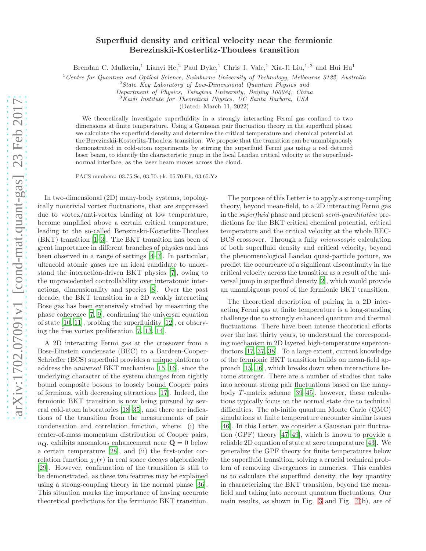## Superfluid density and critical velocity near the fermionic Berezinskii-Kosterlitz-Thouless transition

Brendan C. Mulkerin,<sup>1</sup> Lianyi He,<sup>2</sup> Paul Dyke,<sup>1</sup> Chris J. Vale,<sup>1</sup> Xia-Ji Liu,<sup>1,3</sup> and Hui Hu<sup>1</sup>

<sup>1</sup> Centre for Quantum and Optical Science, Swinburne University of Technology, Melbourne 3122, Australia

 $2$ State Key Laboratory of Low-Dimensional Quantum Physics and

Department of Physics, Tsinghua University, Beijing 100084, China

<sup>3</sup>Kavli Institute for Theoretical Physics, UC Santa Barbara, USA

(Dated: March 11, 2022)

We theoretically investigate superfluidity in a strongly interacting Fermi gas confined to two dimensions at finite temperature. Using a Gaussian pair fluctuation theory in the superfluid phase, we calculate the superfluid density and determine the critical temperature and chemical potential at the Berezinskii-Kosterlitz-Thouless transition. We propose that the transition can be unambiguously demonstrated in cold-atom experiments by stirring the superfluid Fermi gas using a red detuned laser beam, to identify the characteristic jump in the local Landau critical velocity at the superfluidnormal interface, as the laser beam moves across the cloud.

PACS numbers: 03.75.Ss, 03.70.+k, 05.70.Fh, 03.65.Yz

In two-dimensional (2D) many-body systems, topologically nontrivial vortex fluctuations, that are suppressed due to vortex/anti-vortex binding at low temperature, become amplified above a certain critical temperature, leading to the so-called Berezinskii-Kosterlitz-Thouless (BKT) transition [\[1](#page-4-0)[–3\]](#page-4-1). The BKT transition has been of great importance in different branches of physics and has been observed in a range of settings [\[4](#page-4-2)[–7](#page-4-3)]. In particular, ultracold atomic gases are an ideal candidate to understand the interaction-driven BKT physics [\[7\]](#page-4-3), owing to the unprecedented controllability over interatomic interactions, dimensionality and species [\[8\]](#page-4-4). Over the past decade, the BKT transition in a 2D weakly interacting Bose gas has been extensively studied by measuring the phase coherence [\[7](#page-4-3), [9](#page-4-5)], confirming the universal equation of state [\[10](#page-4-6), [11\]](#page-4-7), probing the superfluidity [\[12\]](#page-4-8), or observing the free vortex proliferation [\[7](#page-4-3), [13](#page-4-9), [14](#page-4-10)].

A 2D interacting Fermi gas at the crossover from a Bose-Einstein condensate (BEC) to a Bardeen-Cooper-Schrieffer (BCS) superfluid provides a unique platform to address the universal BKT mechanism [\[15](#page-4-11), [16\]](#page-4-12), since the underlying character of the system changes from tightly bound composite bosons to loosely bound Cooper pairs of fermions, with decreasing attractions [\[17\]](#page-4-13). Indeed, the fermionic BKT transition is now being pursued by several cold-atom laboratories [\[18](#page-4-14)[–35\]](#page-4-15), and there are indications of the transition from the measurements of pair condensation and correlation function, where: (i) the center-of-mass momentum distribution of Cooper pairs,  $n_{\mathbf{Q}}$ , exhibits anomalous enhancement near  $\mathbf{Q} = 0$  below a certain temperature [\[28](#page-4-16)], and (ii) the first-order correlation function  $g_1(r)$  in real space decays algebraically [\[29\]](#page-4-17). However, confirmation of the transition is still to be demonstrated, as these two features may be explained using a strong-coupling theory in the normal phase [\[36\]](#page-4-18). This situation marks the importance of having accurate theoretical predictions for the fermionic BKT transition.

The purpose of this Letter is to apply a strong-coupling theory, beyond mean-field, to a 2D interacting Fermi gas in the superfluid phase and present semi-quantitative predictions for the BKT critical chemical potential, critical temperature and the critical velocity at the whole BEC-BCS crossover. Through a fully microscopic calculation of both superfluid density and critical velocity, beyond the phenomenological Landau quasi-particle picture, we predict the occurrence of a significant discontinuity in the critical velocity across the transition as a result of the universal jump in superfluid density [\[2](#page-4-19)], which would provide an unambiguous proof of the fermionic BKT transition.

The theoretical description of pairing in a 2D interacting Fermi gas at finite temperature is a long-standing challenge due to strongly enhanced quantum and thermal fluctuations. There have been intense theoretical efforts over the last thirty years, to understand the corresponding mechanism in 2D layered high-temperature superconductors [\[17,](#page-4-13) [37](#page-4-20), [38\]](#page-4-21). To a large extent, current knowledge of the fermionic BKT transition builds on mean-field approach [\[15,](#page-4-11) [16](#page-4-12)], which breaks down when interactions become stronger. There are a number of studies that take into account strong pair fluctuations based on the manybody  $T$ -matrix scheme [\[39](#page-4-22)[–45\]](#page-5-0), however, these calculations typically focus on the normal state due to technical difficulties. The ab-initio quantum Monte Carlo (QMC) simulations at finite temperature encounter similar issues [\[46\]](#page-5-1). In this Letter, we consider a Gaussian pair fluctuation (GPF) theory [\[47](#page-5-2)[–49](#page-5-3)], which is known to provide a reliable 2D equation of state at zero temperature [\[43\]](#page-5-4). We generalize the GPF theory for finite temperatures below the superfluid transition, solving a crucial technical problem of removing divergences in numerics. This enables us to calculate the superfluid density, the key quantity in characterizing the BKT transition, beyond the meanfield and taking into account quantum fluctuations. Our main results, as shown in Fig. [3](#page-2-0) and Fig. [4\(](#page-3-0)b), are of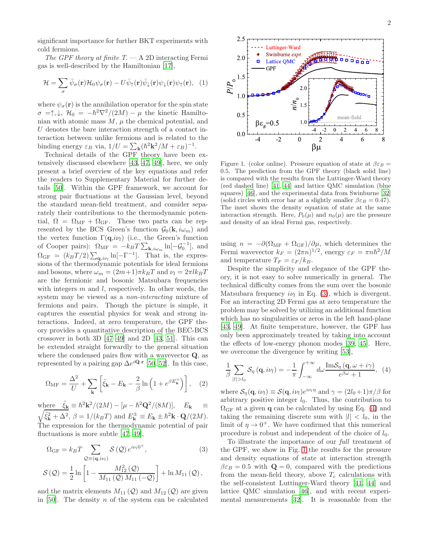significant importance for further BKT experiments with cold fermions.

The GPF theory at finite  $T - A 2D$  interacting Fermi gas is well-described by the Hamiltonian [\[17\]](#page-4-13),

$$
\mathcal{H} = \sum_{\sigma} \bar{\psi}_{\sigma}(\mathbf{r}) \mathcal{H}_0 \psi_{\sigma}(\mathbf{r}) - U \bar{\psi}_{\uparrow}(\mathbf{r}) \bar{\psi}_{\downarrow}(\mathbf{r}) \psi_{\downarrow}(\mathbf{r}) \psi_{\uparrow}(\mathbf{r}), \tag{1}
$$

where  $\psi_{\sigma}(\mathbf{r})$  is the annihilation operator for the spin state  $\sigma = \uparrow, \downarrow, \mathcal{H}_0 = -\hbar^2 \nabla^2/(2M) - \mu$  the kinetic Hamiltonian with atomic mass  $M$ ,  $\mu$  the chemical potential, and U denotes the bare interaction strength of a contact interaction between unlike fermions and is related to the binding energy  $\varepsilon_B$  via,  $1/U = \sum_{\mathbf{k}} (\hbar^2 \mathbf{k}^2 / M + \varepsilon_B)^{-1}$ .

Technical details of the GPF theory have been extensively discussed elsewhere [\[43,](#page-5-4) [47](#page-5-2), [49\]](#page-5-3), here, we only present a brief overview of the key equations and refer the readers to Supplementary Material for further details [\[50](#page-5-5)]. Within the GPF framework, we account for strong pair fluctuations at the Gaussian level, beyond the standard mean-field treatment, and consider separately their contributions to the thermodynamic potential,  $\Omega = \Omega_{\text{MF}} + \Omega_{\text{GF}}$ . These two parts can be represented by the BCS Green's function  $\mathcal{G}_0(\mathbf{k}, i\omega_m)$  and the vertex function  $\Gamma(\mathbf{q}, i\nu_l)$  (i.e., the Green's function of Cooper pairs):  $\Omega_{\text{MF}} = -k_B T \sum_{\mathbf{k}, i \omega_m} \ln[-\mathcal{G}_0^{-1}],$  and  $\Omega_{\rm GF} = (k_B T/2) \sum_{\mathbf{q}, i\nu_l} \ln[-\Gamma^{-1}]$ . That is, the expressions of the thermodynamic potentials for ideal fermions and bosons, where  $\omega_m = (2m+1)\pi k_BT$  and  $\nu_l = 2\pi l k_BT$ are the fermionic and bosonic Matsubara frequencies with integers  $m$  and  $l$ , respectively. In other words, the system may be viewed as a non-interacting mixture of fermions and pairs. Though the picture is simple, it captures the essential physics for weak and strong interactions. Indeed, at zero temperature, the GPF theory provides a quantitative description of the BEC-BCS crossover in both 3D [\[47](#page-5-2)[–49](#page-5-3)] and 2D [\[43,](#page-5-4) [51](#page-5-6)]. This can be extended straight forwardly to the general situation where the condensed pairs flow with a wavevector Q, as represented by a pairing gap  $\Delta e^{i\mathbf{Q}\cdot\mathbf{r}}$  [\[50,](#page-5-5) [52](#page-5-7)]. In this case,

$$
\Omega_{\rm MF} = \frac{\Delta^2}{U} + \sum_{\mathbf{k}} \left[ \tilde{\xi}_{\mathbf{k}} - E_{\mathbf{k}} - \frac{2}{\beta} \ln \left( 1 + e^{\beta E_{\mathbf{k}}^+} \right) \right], \quad (2)
$$

where  $\tilde{\xi}_{\mathbf{k}} \equiv \hbar^2 \mathbf{k}^2 / (2M) - [\mu - \hbar^2 \mathbf{Q}^2]$  $\frac{1}{2}$  $/(8M)$ ,  $E_{\mathbf{k}} \equiv$  $\tilde{\xi}_{\mathbf{k}}^2 + \Delta^2$ ,  $\beta = 1/(k_B T)$  and  $E_{\mathbf{k}}^{\pm} \equiv E_{\mathbf{k}} \pm \hbar^2 \mathbf{k} \cdot \mathbf{Q}/(2M)$ . The expression for the thermodynamic potential of pair fluctuations is more subtle [\[47,](#page-5-2) [49](#page-5-3)],

<span id="page-1-0"></span>
$$
\Omega_{\rm GF} = k_B T \sum_{\mathcal{Q} \equiv (\mathbf{q}, i\nu_l)} \mathcal{S}(\mathcal{Q}) e^{i\nu_l 0^+},
$$
\n(3)\n
$$
\mathcal{S}(\mathcal{Q}) = \frac{1}{2} \ln \left[ 1 - \frac{M_{12}^2(\mathcal{Q})}{M_{11}(\mathcal{Q}) M_{11}(-\mathcal{Q})} \right] + \ln M_{11}(\mathcal{Q}),
$$

and the matrix elements  $M_{11}(\mathcal{Q})$  and  $M_{12}(\mathcal{Q})$  are given in [\[50](#page-5-5)]. The density  $n$  of the system can be calculated



<span id="page-1-2"></span>Figure 1. (color online). Pressure equation of state at  $\beta \varepsilon_B =$ 0.5. The prediction from the GPF theory (black solid line) is compared with the results from the Luttinger-Ward theory (red dashed line) [\[41,](#page-4-23) [44\]](#page-5-8) and lattice QMC simulation (blue squares) [\[46\]](#page-5-1), and the experimental data from Swinburne [\[32](#page-4-24)] (solid circles with error bar at a slightly smaller  $\beta \epsilon_B = 0.47$ ). The inset shows the density equation of state at the same interaction strength. Here,  $P_0(\mu)$  and  $n_0(\mu)$  are the pressure and density of an ideal Fermi gas, respectively.

using  $n = -\partial(\Omega_{\text{MF}} + \Omega_{\text{GF}})/\partial \mu$ , which determines the Fermi wavevector  $k_F = (2\pi n)^{1/2}$ , energy  $\varepsilon_F = \pi n \hbar^2 / M$ and temperature  $T_F = \varepsilon_F / k_B$ .

Despite the simplicity and elegance of the GPF theory, it is not easy to solve numerically in general. The technical difficulty comes from the sum over the bosonic Matsubara frequency  $i\nu_l$  in Eq. [\(3\)](#page-1-0), which is divergent. For an interacting 2D Fermi gas at zero temperature the problem may be solved by utilizing an additional function which has no singularities or zeros in the left hand-plane [\[43,](#page-5-4) [49\]](#page-5-3). At finite temperature, however, the GPF has only been approximately treated by taking into account the effects of low-energy phonon modes [\[39,](#page-4-22) [45\]](#page-5-0). Here, we overcome the divergence by writing [\[53\]](#page-5-9),

<span id="page-1-1"></span>
$$
\frac{1}{\beta} \sum_{|l|>l_0} \mathcal{S}_{\eta} (\mathbf{q}, i\nu_l) = -\frac{1}{\pi} \int_{-\infty}^{+\infty} d\omega \frac{\text{Im}\mathcal{S}_{\eta} (\mathbf{q}, \omega + i\gamma)}{e^{\beta \omega} + 1}, \tag{4}
$$

where  $\mathcal{S}_{\eta}(\mathbf{q}, i\nu_l) \equiv \mathcal{S}(\mathbf{q}, i\nu_l)e^{i\nu_l\eta}$  and  $\gamma = (2l_0+1)\pi/\beta$  for arbitrary positive integer  $l_0$ . Thus, the contribution to  $\Omega_{\text{GF}}$  at a given **q** can be calculated by using Eq. [\(4\)](#page-1-1) and taking the remaining discrete sum with  $|l| < l_0$ , in the limit of  $\eta \to 0^+$ . We have confirmed that this numerical procedure is robust and independent of the choice of  $l_0$ .

To illustrate the importance of our full treatment of the GPF, we show in Fig. [1](#page-1-2) the results for the pressure and density equations of state at interaction strength  $\beta \varepsilon_B = 0.5$  with  $\mathbf{Q} = 0$ , compared with the predictions from the mean-field theory, above  $T_c$  calculations with the self-consistent Luttinger-Ward theory [\[41,](#page-4-23) [44](#page-5-8)] and lattice QMC simulation [\[46\]](#page-5-1), and with recent experimental measurements [\[32](#page-4-24)]. It is reasonable from the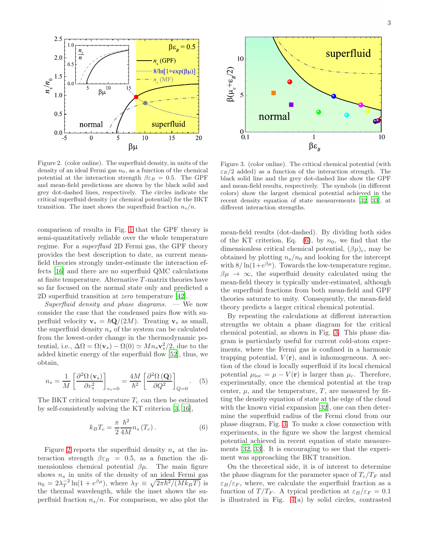

<span id="page-2-1"></span>Figure 2. (color online). The superfluid density, in units of the density of an ideal Fermi gas  $n_0$ , as a function of the chemical potential at the interaction strength  $\beta \varepsilon_B = 0.5$ . The GPF and mean-field predictions are shown by the black solid and grey dot-dashed lines, respectively. The circles indicate the critical superfluid density (or chemical potential) for the BKT transition. The inset shows the superfluid fraction  $n_s/n$ .

comparison of results in Fig. [1](#page-1-2) that the GPF theory is semi-quantitatively reliable over the whole temperature regime. For a superfluid 2D Fermi gas, the GPF theory provides the best description to date, as current meanfield theories strongly under-estimate the interaction effects [\[16](#page-4-12)] and there are no superfluid QMC calculations at finite temperature. Alternative  $T$ -matrix theories have so far focused on the normal state only and predicted a 2D superfluid transition at zero temperature [\[42\]](#page-5-10).

Superfluid density and phase diagrams.  $\mathcal{C}$  We now consider the case that the condensed pairs flow with superfluid velocity  $\mathbf{v}_s = \hbar \mathbf{Q}/(2M)$ . Treating  $\mathbf{v}_s$  as small, the superfluid density  $n_s$  of the system can be calculated from the lowest-order change in the thermodynamic potential, i.e.,  $\Delta \Omega = \Omega(\mathbf{v}_s) - \Omega(0) \simeq Mn_s \mathbf{v}_s^2/2$ , due to the added kinetic energy of the superfluid flow [\[52\]](#page-5-7), thus, we obtain,

$$
n_s = \frac{1}{M} \left[ \frac{\partial^2 \Omega \left( \mathbf{v}_s \right)}{\partial v_s^2} \right]_{v_s = 0} = \frac{4M}{\hbar^2} \left[ \frac{\partial^2 \Omega \left( \mathbf{Q} \right)}{\partial Q^2} \right]_{Q = 0} . \tag{5}
$$

The BKT critical temperature  $T_c$  can then be estimated by self-consistently solving the KT criterion [\[3](#page-4-1), [16\]](#page-4-12),

<span id="page-2-2"></span>
$$
k_B T_c = \frac{\pi}{2} \frac{\hbar^2}{4M} n_s (T_c). \tag{6}
$$

Figure [2](#page-2-1) reports the superfluid density  $n<sub>s</sub>$  at the interaction strength  $\beta \varepsilon_B = 0.5$ , as a function the dimensionless chemical potential  $\beta\mu$ . The main figure shows  $n<sub>s</sub>$  in units of the density of an ideal Fermi gas  $n_0 = 2\lambda_T^{-2} \ln(1 + e^{\beta \mu})$ , where  $\lambda_T \equiv \sqrt{2\pi \hbar^2/(Mk_BT)}$  is the thermal wavelength, while the inset shows the superfluid fraction  $n_s/n$ . For comparison, we also plot the



<span id="page-2-0"></span>Figure 3. (color online). The critical chemical potential (with  $\varepsilon_B/2$  added) as a function of the interaction strength. The black solid line and the grey dot-dashed line show the GPF and mean-field results, respectively. The symbols (in different colors) show the largest chemical potential achieved in the recent density equation of state measurements [\[32](#page-4-24), [33\]](#page-4-25), at different interaction strengths.

mean-field results (dot-dashed). By dividing both sides of the KT criterion, Eq.  $(6)$ , by  $n_0$ , we find that the dimensionless critical chemical potential,  $(\beta \mu)_c$ , may be obtained by plotting  $n_s/n_0$  and looking for the intercept with  $8/\ln(1+e^{\beta\mu})$ . Towards the low-temperature regime,  $\beta\mu \rightarrow \infty$ , the superfluid density calculated using the mean-field theory is typically under-estimated, although the superfluid fractions from both mean-field and GPF theories saturate to unity. Consequently, the mean-field theory predicts a larger critical chemical potential.

By repeating the calculations at different interaction strengths we obtain a phase diagram for the critical chemical potential, as shown in Fig. [3.](#page-2-0) This phase diagram is particularly useful for current cold-atom experiments, where the Fermi gas is confined in a harmonic trapping potential,  $V(\mathbf{r})$ , and is inhomogeneous. A section of the cloud is locally superfluid if its local chemical potential  $\mu_{\text{loc}} = \mu - V(\mathbf{r})$  is larger than  $\mu_c$ . Therefore, experimentally, once the chemical potential at the trap center,  $\mu$ , and the temperature, T, are measured by fitting the density equation of state at the edge of the cloud with the known virial expansion [\[32\]](#page-4-24), one can then determine the superfluid radius of the Fermi cloud from our phase diagram, Fig. [3.](#page-2-0) To make a close connection with experiments, in the figure we show the largest chemical potential achieved in recent equation of state measurements [\[32](#page-4-24), [33\]](#page-4-25). It is encouraging to see that the experiment was approaching the BKT transition.

On the theoretical side, it is of interest to determine the phase diagram for the parameter space of  $T_c/T_F$  and  $\varepsilon_B/\varepsilon_F$ , where, we calculate the superfluid fraction as a function of  $T/T_F$ . A typical prediction at  $\varepsilon_B/\varepsilon_F = 0.1$ is illustrated in Fig. [4\(](#page-3-0)a) by solid circles, contrasted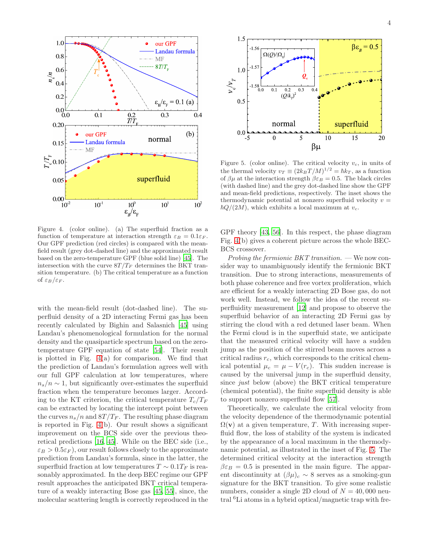

<span id="page-3-0"></span>Figure 4. (color online). (a) The superfluid fraction as a function of temperature at interaction strength  $\varepsilon_B = 0.1 \varepsilon_F$ . Our GPF prediction (red circles) is compared with the meanfield result (grey dot-dashed line) and the approximated result based on the zero-temperature GPF (blue solid line) [\[45](#page-5-0)]. The intersection with the curve  $8T/T_F$  determines the BKT transition temperature. (b) The critical temperature as a function of  $\varepsilon_B/\varepsilon_F$ .

with the mean-field result (dot-dashed line). The superfluid density of a 2D interacting Fermi gas has been recently calculated by Bighin and Salasnich [\[45\]](#page-5-0) using Landau's phenomenological formulation for the normal density and the quasiparticle spectrum based on the zerotemperature GPF equation of state [\[54\]](#page-5-11). Their result is plotted in Fig. [4\(](#page-3-0)a) for comparison. We find that the prediction of Landau's formulation agrees well with our full GPF calculation at low temperatures, where  $n_s/n \sim 1$ , but significantly over-estimates the superfluid fraction when the temperature becomes larger. According to the KT criterion, the critical temperature  $T_c/T_F$ can be extracted by locating the intercept point between the curves  $n_s/n$  and  $8T/T_F$ . The resulting phase diagram is reported in Fig. [4\(](#page-3-0)b). Our result shows a significant improvement on the BCS side over the previous theoretical predictions [\[16,](#page-4-12) [45\]](#page-5-0). While on the BEC side (i.e.,  $\epsilon_B > 0.5 \epsilon_F$ , our result follows closely to the approximate prediction from Landau's formula, since in the latter, the superfluid fraction at low temperatures  $T \sim 0.1 T_F$  is reasonably approximated. In the deep BEC regime our GPF result approaches the anticipated BKT critical temperature of a weakly interacting Bose gas [\[45,](#page-5-0) [55\]](#page-5-12), since, the molecular scattering length is correctly reproduced in the



<span id="page-3-1"></span>Figure 5. (color online). The critical velocity  $v_c$ , in units of the thermal velocity  $v_T \equiv (2k_BT/M)^{1/2} = \hbar k_T$ , as a function of  $\beta\mu$  at the interaction strength  $\beta\varepsilon_B = 0.5$ . The black circles (with dashed line) and the grey dot-dashed line show the GPF and mean-field predictions, respectively. The inset shows the thermodynamic potential at nonzero superfluid velocity  $v =$  $\hbar Q/(2M)$ , which exhibits a local maximum at  $v_c$ .

GPF theory [\[43,](#page-5-4) [56\]](#page-5-13). In this respect, the phase diagram Fig. [4\(](#page-3-0)b) gives a coherent picture across the whole BEC-BCS crossover.

Probing the fermionic BKT transition.  $-\mathbf{W}\mathbf{e}$  now consider way to unambiguously identify the fermionic BKT transition. Due to strong interactions, measurements of both phase coherence and free vortex proliferation, which are efficient for a weakly interacting 2D Bose gas, do not work well. Instead, we follow the idea of the recent superfluidity measurement [\[12\]](#page-4-8) and propose to observe the superfluid behavior of an interacting 2D Fermi gas by stirring the cloud with a red detuned laser beam. When the Fermi cloud is in the superfluid state, we anticipate that the measured critical velocity will have a sudden jump as the position of the stirred beam moves across a critical radius  $r_c$ , which corresponds to the critical chemical potential  $\mu_c = \mu - V(r_c)$ . This sudden increase is caused by the universal jump in the superfluid density, since just below (above) the BKT critical temperature (chemical potential), the finite superfluid density is able to support nonzero superfluid flow [\[57](#page-5-14)].

Theoretically, we calculate the critical velocity from the velocity dependence of the thermodynamic potential  $\Omega(\mathbf{v})$  at a given temperature, T. With increasing superfluid flow, the loss of stability of the system is indicated by the appearance of a local maximum in the thermodynamic potential, as illustrated in the inset of Fig. [5.](#page-3-1) The determined critical velocity at the interaction strength  $\beta \varepsilon_B = 0.5$  is presented in the main figure. The apparent discontinuity at  $(\beta \mu)_c \sim 8$  serves as a smoking-gun signature for the BKT transition. To give some realistic numbers, consider a single 2D cloud of  $N = 40,000$  neutral <sup>6</sup>Li atoms in a hybrid optical/magnetic trap with fre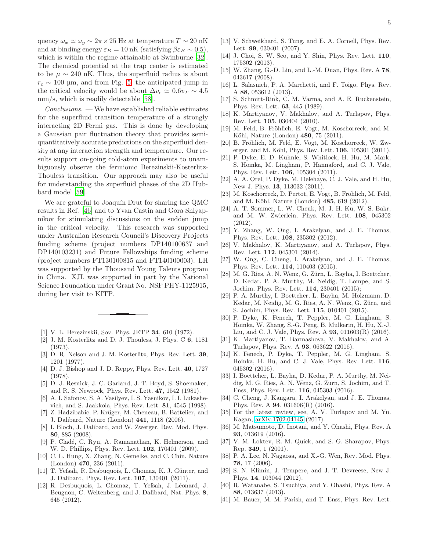quency  $\omega_x \simeq \omega_y \sim 2\pi \times 25$  Hz at temperature  $T \sim 20$  nK and at binding energy  $\varepsilon_B = 10 \text{ nK}$  (satisfying  $\beta \varepsilon_B \sim 0.5$ ), which is within the regime attainable at Swinburne [\[32\]](#page-4-24). The chemical potential at the trap center is estimated to be  $\mu \sim 240$  nK. Thus, the superfluid radius is about  $r_c \sim 100$  µm, and from Fig. [5,](#page-3-1) the anticipated jump in the critical velocity would be about  $\Delta v_c \simeq 0.6v_T \sim 4.5$ mm/s, which is readily detectable [\[58\]](#page-5-15).

Conclusions. — We have established reliable estimates for the superfluid transition temperature of a strongly interacting 2D Fermi gas. This is done by developing a Gaussian pair fluctuation theory that provides semiquantitatively accurate predictions on the superfluid density at any interaction strength and temperature. Our results support on-going cold-atom experiments to unambiguously observe the fermionic Berezinskii-Kosterlitz-Thouless transition. Our approach may also be useful for understanding the superfluid phases of the 2D Hubbard model [\[59\]](#page-5-16).

We are grateful to Joaquín Drut for sharing the QMC results in Ref. [\[46\]](#page-5-1) and to Yvan Castin and Gora Shlyapnikov for stimulating discussions on the sudden jump in the critical velocity. This research was supported under Australian Research Council's Discovery Projects funding scheme (project numbers DP140100637 and DP140103231) and Future Fellowships funding scheme (project numbers FT130100815 and FT140100003). LH was supported by the Thousand Young Talents program in China. XJL was supported in part by the National Science Foundation under Grant No. NSF PHY-1125915, during her visit to KITP.

- <span id="page-4-0"></span>[1] V. L. Berezinskii, Sov. Phys. JETP **34**, 610 (1972).
- <span id="page-4-19"></span>[2] J. M. Kosterlitz and D. J. Thouless, J. Phys. C 6, 1181 (1973).
- <span id="page-4-1"></span>[3] D. R. Nelson and J. M. Kosterlitz, Phys. Rev. Lett. **39**, 1201 (1977).
- <span id="page-4-2"></span>[4] D. J. Bishop and J. D. Reppy, Phys. Rev. Lett. 40, 1727 (1978).
- [5] D. J. Resnick, J. C. Garland, J. T. Boyd, S. Shoemaker, and R. S. Newrock, Phys. Rev. Lett. 47, 1542 (1981).
- [6] A. I. Safonov, S. A. Vasilyev, I. S. Yasnikov, I. I. Lukashevich, and S. Jaakkola, Phys. Rev. Lett. 81, 4545 (1998).
- <span id="page-4-3"></span>[7] Z. Hadzibabic, P. Krüger, M. Cheneau, B. Battelier, and J. Dalibard, Nature (London) 441, 1118 (2006).
- <span id="page-4-4"></span>[8] I. Bloch, J. Dalibard, and W. Zwerger, Rev. Mod. Phys. 80, 885 (2008).
- <span id="page-4-5"></span>[9] P. Cladé, C. Ryu, A. Ramanathan, K. Helmerson, and W. D. Phillips, Phys. Rev. Lett. 102, 170401 (2009).
- <span id="page-4-6"></span>[10] C. L. Hung, X. Zhang, N. Gemelke, and C. Chin, Nature  $(London)$  470, 236 (2011).
- <span id="page-4-7"></span>[11] T. Yefsah, R. Desbuquois, L. Chomaz, K. J. Günter, and J. Dalibard, Phys. Rev. Lett. 107, 130401 (2011).
- <span id="page-4-8"></span>[12] R. Desbuquois, L. Chomaz, T. Yefsah, J. Léonard, J. Beugnon, C. Weitenberg, and J. Dalibard, Nat. Phys. 8, 645 (2012).
- <span id="page-4-9"></span>[13] V. Schweikhard, S. Tung, and E. A. Cornell, Phys. Rev. Lett. 99, 030401 (2007).
- <span id="page-4-10"></span>[14] J. Choi, S. W. Seo, and Y. Shin, Phys. Rev. Lett. 110, 175302 (2013).
- <span id="page-4-11"></span>[15] W. Zhang, G.-D. Lin, and L.-M. Duan, Phys. Rev. A 78, 043617 (2008).
- <span id="page-4-12"></span>[16] L. Salasnich, P. A. Marchetti, and F. Toigo, Phys. Rev. A 88, 053612 (2013).
- <span id="page-4-13"></span>[17] S. Schmitt-Rink, C. M. Varma, and A. E. Ruckenstein, Phys. Rev. Lett. 63, 445 (1989).
- <span id="page-4-14"></span>[18] K. Martiyanov, V. Makhalov, and A. Turlapov, Phys. Rev. Lett. 105, 030404 (2010).
- [19] M. Feld, B. Fröhlich, E. Vogt, M. Koschorreck, and M. Köhl, Nature (London) 480, 75 (2011).
- [20] B. Fröhlich, M. Feld, E. Vogt, M. Koschorreck, W. Zwerger, and M. Köhl, Phys. Rev. Lett. **106**, 105301 (2011).
- [21] P. Dyke, E. D. Kuhnle, S. Whitlock, H. Hu, M. Mark, S. Hoinka, M. Lingham, P. Hannaford, and C. J. Vale, Phys. Rev. Lett. 106, 105304 (2011).
- [22] A. A. Orel, P. Dyke, M. Delehaye, C. J. Vale, and H. Hu, New J. Phys. 13, 113032 (2011).
- [23] M. Koschorreck, D. Pertot, E. Vogt, B. Fröhlich, M. Feld, and M. Köhl, Nature (London) 485, 619 (2012).
- [24] A. T. Sommer, L. W. Cheuk, M. J. H. Ku, W. S. Bakr, and M. W. Zwierlein, Phys. Rev. Lett. 108, 045302 (2012).
- [25] Y. Zhang, W. Ong, I. Arakelyan, and J. E. Thomas, Phys. Rev. Lett. 108, 235302 (2012).
- [26] V. Makhalov, K. Martiyanov, and A. Turlapov, Phys. Rev. Lett. 112, 045301 (2014).
- [27] W. Ong, C. Cheng, I. Arakelyan, and J. E. Thomas, Phys. Rev. Lett. 114, 110403 (2015).
- <span id="page-4-16"></span>[28] M. G. Ries, A. N. Wenz, G. Zürn, L. Bayha, I. Boettcher, D. Kedar, P. A. Murthy, M. Neidig, T. Lompe, and S. Jochim, Phys. Rev. Lett. 114, 230401 (2015);
- <span id="page-4-17"></span>[29] P. A. Murthy, I. Boettcher, L. Bayha, M. Holzmann, D. Kedar, M. Neidig, M. G. Ries, A. N. Wenz, G. Zürn, and S. Jochim, Phys. Rev. Lett. 115, 010401 (2015).
- [30] P. Dyke, K. Fenech, T. Peppler, M. G. Lingham, S. Hoinka, W. Zhang, S.-G. Peng, B. Mulkerin, H. Hu, X.-J. Liu, and C. J. Vale, Phys. Rev. A 93, 011603(R) (2016).
- [31] K. Martiyanov, T. Barmashova, V. Makhalov, and A. Turlapov, Phys. Rev. A 93, 063622 (2016).
- <span id="page-4-24"></span>[32] K. Fenech, P. Dyke, T. Peppler, M. G. Lingham, S. Hoinka, H. Hu, and C. J. Vale, Phys. Rev. Lett. 116, 045302 (2016).
- <span id="page-4-25"></span>[33] I. Boettcher, L. Bayha, D. Kedar, P. A. Murthy, M. Neidig, M. G. Ries, A. N. Wenz, G. Zurn, S. Jochim, and T. Enss, Phys. Rev. Lett. 116, 045303 (2016).
- [34] C. Cheng, J. Kangara, I. Arakelyan, and J. E. Thomas, Phys. Rev. A 94, 031606(R) (2016).
- <span id="page-4-15"></span>[35] For the latest review, see, A. V. Turlapov and M. Yu. Kagan, [arXiv:1702.04145](http://arxiv.org/abs/1702.04145) (2017).
- <span id="page-4-18"></span>[36] M. Matsumoto, D. Inotani, and Y. Ohashi, Phys. Rev. A 93, 013619 (2016).
- <span id="page-4-20"></span>[37] V. M. Loktev, R. M. Quick, and S. G. Sharapov, Phys. Rep. 349, 1 (2001).
- <span id="page-4-21"></span>[38] P. A. Lee, N. Nagaosa, and X.-G. Wen, Rev. Mod. Phys. 78, 17 (2006).
- <span id="page-4-22"></span>[39] S. N. Klimin, J. Tempere, and J. T. Devreese, New J. Phys. 14, 103044 (2012).
- [40] R. Watanabe, S. Tsuchiya, and Y. Ohashi, Phys. Rev. A 88, 013637 (2013).
- <span id="page-4-23"></span>[41] M. Bauer, M. M. Parish, and T. Enss, Phys. Rev. Lett.